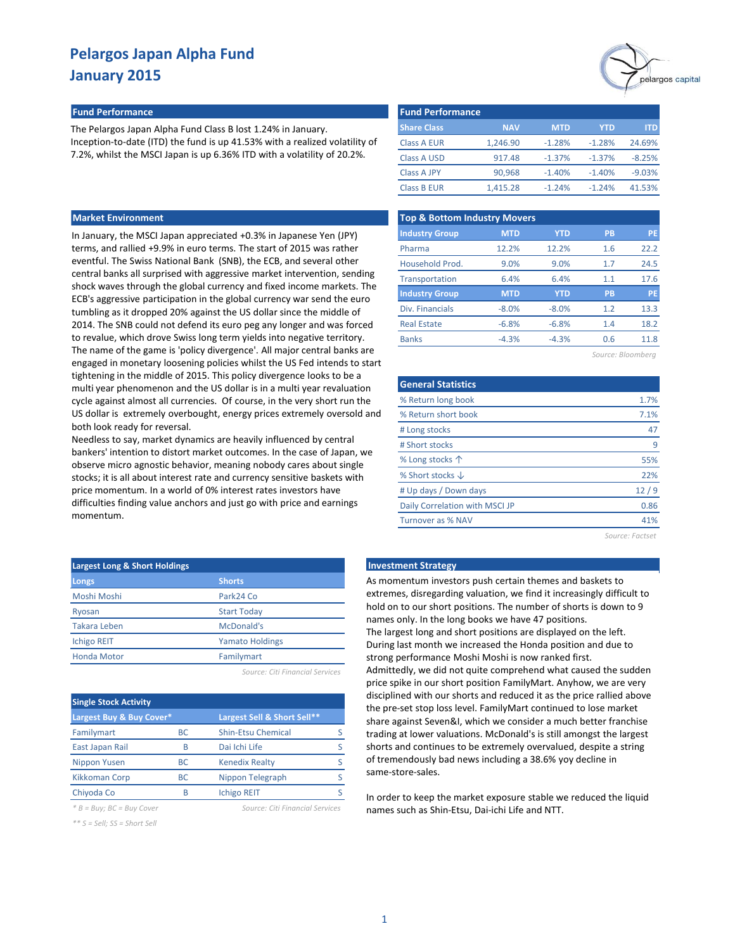# pelargos capital

#### **Fund Performance Fund Performance**

The Pelargos Japan Alpha Fund Class B lost 1.24% in January. Inception-to-date (ITD) the fund is up 41.53% with a realized volatility of 7.2%, whilst the MSCI Japan is up 6.36% ITD with a volatility of 20.2%.

#### **Market Environment**

In January, the MSCI Japan appreciated +0.3% in Japanese Yen (JPY) terms, and rallied +9.9% in euro terms. The start of 2015 was rather eventful. The Swiss National Bank (SNB), the ECB, and several other central banks all surprised with aggressive market intervention, sending shock waves through the global currency and fixed income markets. The ECB's aggressive participation in the global currency war send the euro tumbling as it dropped 20% against the US dollar since the middle of 2014. The SNB could not defend its euro peg any longer and was forced to revalue, which drove Swiss long term yields into negative territory. The name of the game is 'policy divergence'. All major central banks are engaged in monetary loosening policies whilst the US Fed intends to start tightening in the middle of 2015. This policy divergence looks to be a multi year phenomenon and the US dollar is in a multi year revaluation cycle against almost all currencies. Of course, in the very short run the US dollar is extremely overbought, energy prices extremely oversold and both look ready for reversal.

Needless to say, market dynamics are heavily influenced by central bankers' intention to distort market outcomes. In the case of Japan, we observe micro agnostic behavior, meaning nobody cares about single stocks; it is all about interest rate and currency sensitive baskets with price momentum. In a world of 0% interest rates investors have difficulties finding value anchors and just go with price and earnings momentum.

| <b>Largest Long &amp; Short Holdings</b> |                        |  |  |  |  |  |
|------------------------------------------|------------------------|--|--|--|--|--|
| Longs                                    | <b>Shorts</b>          |  |  |  |  |  |
| Moshi Moshi                              | Park24 Co              |  |  |  |  |  |
| Ryosan                                   | <b>Start Today</b>     |  |  |  |  |  |
| <b>Takara Leben</b>                      | McDonald's             |  |  |  |  |  |
| <b>Ichigo REIT</b>                       | <b>Yamato Holdings</b> |  |  |  |  |  |
| <b>Honda Motor</b>                       | Familymart             |  |  |  |  |  |
|                                          |                        |  |  |  |  |  |

*Source: Citi Financial Services*

| <b>Single Stock Activity</b> |           |                             |  |  |  |  |  |  |  |  |
|------------------------------|-----------|-----------------------------|--|--|--|--|--|--|--|--|
| Largest Buy & Buy Cover*     |           | Largest Sell & Short Sell** |  |  |  |  |  |  |  |  |
| Familymart                   | <b>BC</b> | <b>Shin-Etsu Chemical</b>   |  |  |  |  |  |  |  |  |
| East Japan Rail              | R         | Dai Ichi Life               |  |  |  |  |  |  |  |  |
| Nippon Yusen                 | ВC        | <b>Kenedix Realty</b>       |  |  |  |  |  |  |  |  |
| <b>Kikkoman Corp</b>         | <b>BC</b> | Nippon Telegraph            |  |  |  |  |  |  |  |  |
| Chiyoda Co                   | R         | <b>Ichigo REIT</b>          |  |  |  |  |  |  |  |  |

*\* B = Buy; BC = Buy Cover Source: Citi Financial Services*

*\*\* S = Sell; SS = Short Sell*

| <b>Fund Performance</b> |            |            |          |            |  |  |  |  |  |
|-------------------------|------------|------------|----------|------------|--|--|--|--|--|
| <b>Share Class</b>      | <b>NAV</b> | <b>MTD</b> | YTD      | <b>ITD</b> |  |  |  |  |  |
| <b>Class A EUR</b>      | 1,246.90   | $-1.28%$   | $-1.28%$ | 24.69%     |  |  |  |  |  |
| <b>Class A USD</b>      | 917.48     | $-1.37%$   | $-1.37%$ | $-8.25%$   |  |  |  |  |  |
| <b>Class A JPY</b>      | 90,968     | $-1.40%$   | $-1.40%$ | $-9.03%$   |  |  |  |  |  |
| <b>Class B EUR</b>      | 1,415.28   | $-1.24%$   | $-1.24%$ | 41.53%     |  |  |  |  |  |

| <b>Top &amp; Bottom Industry Movers</b> |            |            |                   |           |
|-----------------------------------------|------------|------------|-------------------|-----------|
| <b>Industry Group</b>                   | <b>MTD</b> | <b>YTD</b> | <b>PB</b>         | PE        |
| Pharma                                  | 12.2%      | 12.2%      | 1.6               | 22.2      |
| Household Prod.                         | 9.0%       | 9.0%       | 1.7               | 24.5      |
| Transportation                          | 6.4%       | 6.4%       | 1.1               | 17.6      |
| <b>Industry Group</b>                   | <b>MTD</b> | <b>YTD</b> | PB                | <b>PE</b> |
| Div. Financials                         | $-8.0%$    | $-8.0%$    | 1.2               | 13.3      |
| <b>Real Estate</b>                      | $-6.8%$    | $-6.8%$    | 1.4               | 18.2      |
| <b>Banks</b>                            | $-4.3%$    | $-4.3%$    | 0.6               | 11.8      |
|                                         |            |            | Source: Bloombera |           |

| <b>General Statistics</b>      |      |
|--------------------------------|------|
| % Return long book             | 1.7% |
| % Return short book            | 7.1% |
| # Long stocks                  | 47   |
| # Short stocks                 | q    |
| % Long stocks $\uparrow$       | 55%  |
| % Short stocks $\downarrow$    | 22%  |
| # Up days / Down days          | 12/9 |
| Daily Correlation with MSCI JP | 0.86 |
| <b>Turnover as % NAV</b>       | 41%  |

*Source: Factset*

#### **Late Investment Strategy**

As momentum investors push certain themes and baskets to extremes, disregarding valuation, we find it increasingly difficult to hold on to our short positions. The number of shorts is down to 9 names only. In the long books we have 47 positions. The largest long and short positions are displayed on the left. During last month we increased the Honda position and due to strong performance Moshi Moshi is now ranked first. Admittedly, we did not quite comprehend what caused the sudden price spike in our short position FamilyMart. Anyhow, we are very disciplined with our shorts and reduced it as the price rallied above the pre-set stop loss level. FamilyMart continued to lose market share against Seven&I, which we consider a much better franchise trading at lower valuations. McDonald's is still amongst the largest shorts and continues to be extremely overvalued, despite a string of tremendously bad news including a 38.6% yoy decline in same-store-sales.

In order to keep the market exposure stable we reduced the liquid names such as Shin-Etsu, Dai-ichi Life and NTT.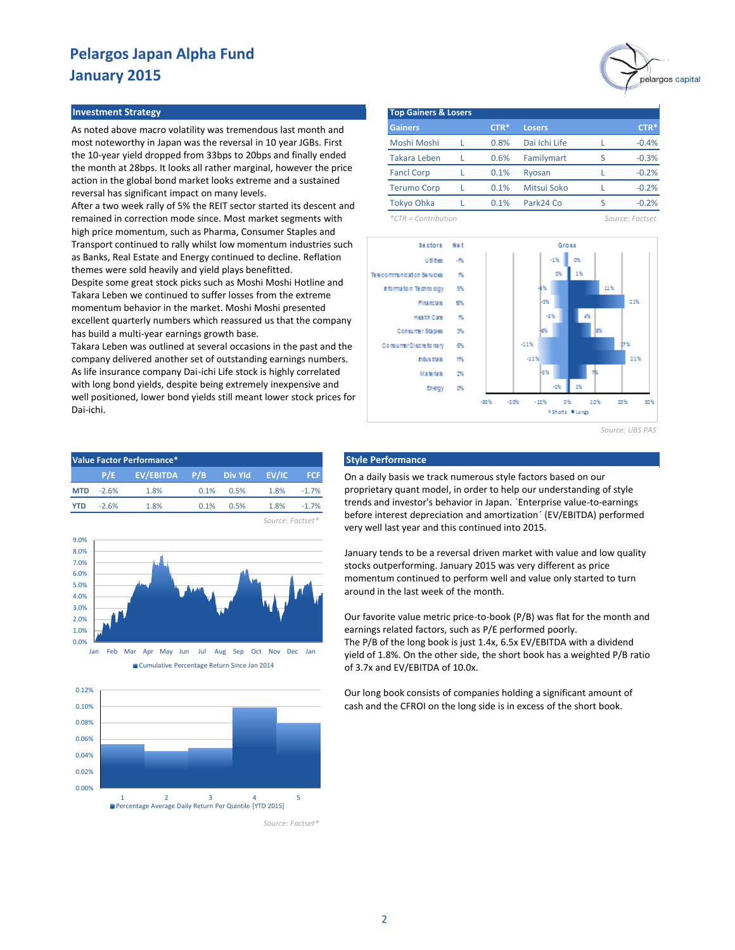#### **Investment Strategy The Contract of Lose Strategy Top Gainers & Lose Strategy**

As noted above macro volatility was tremendous last month and most noteworthy in Japan was the reversal in 10 year JGBs. First the 10-year yield dropped from 33bps to 20bps and finally ended the month at 28bps. It looks all rather marginal, however the price action in the global bond market looks extreme and a sustained reversal has significant impact on many levels.

After a two week rally of 5% the REIT sector started its descent and remained in correction mode since. Most market segments with high price momentum, such as Pharma, Consumer Staples and Transport continued to rally whilst low momentum industries such as Banks, Real Estate and Energy continued to decline. Reflation themes were sold heavily and yield plays benefitted.

Despite some great stock picks such as Moshi Moshi Hotline and Takara Leben we continued to suffer losses from the extreme momentum behavior in the market. Moshi Moshi presented excellent quarterly numbers which reassured us that the company has build a multi-year earnings growth base.

Takara Leben was outlined at several occasions in the past and the company delivered another set of outstanding earnings numbers. As life insurance company Dai-ichi Life stock is highly correlated with long bond yields, despite being extremely inexpensive and well positioned, lower bond yields still meant lower stock prices for Dai-ichi.

| <b>Top Gainers &amp; Losers</b> |        |               |         |
|---------------------------------|--------|---------------|---------|
| <b>Gainers</b>                  | $CTR*$ | <b>Losers</b> | CTR*    |
| Moshi Moshi                     | 0.8%   | Dai Ichi Life | $-0.4%$ |
| <b>Takara Leben</b>             | 0.6%   | Familymart    | $-0.3%$ |
| <b>Fancl Corp</b>               | 0.1%   | Ryosan        | $-0.2%$ |
| <b>Terumo Corp</b>              | 0.1%   | Mitsui Soko   | $-0.2%$ |

*\*CTR = Contribution Source: Factset*

-0.2%

largos capital



Tokyo Ohka L 0.1% Park24 Co S

0.1%

*Source: UBS PAS*

| Value Factor Performance* |         |                                 |      |      |                  |                |  |  |
|---------------------------|---------|---------------------------------|------|------|------------------|----------------|--|--|
|                           |         | P/E EV/EBITDA P/B Div Yld EV/IC |      |      |                  | <b>FCF</b>     |  |  |
| <b>MTD</b>                | $-2.6%$ | 1.8%                            | 0.1% | 0.5% | 1.8%             | $-1.7%$        |  |  |
| <b>YTD</b>                | $-2.6%$ | 1.8%                            | 0.1% | 0.5% |                  | $1.8\% -1.7\%$ |  |  |
|                           |         |                                 |      |      | Source: Eactset* |                |  |  |



Cumulative Percentage Return Since Jan 2014



*Source: Factset\**

## **Style Performance**

On a daily basis we track numerous style factors based on our proprietary quant model, in order to help our understanding of style trends and investor's behavior in Japan. ´Enterprise value-to-earnings before interest depreciation and amortization´ (EV/EBITDA) performed very well last year and this continued into 2015.

January tends to be a reversal driven market with value and low quality stocks outperforming. January 2015 was very different as price momentum continued to perform well and value only started to turn around in the last week of the month.

Our favorite value metric price-to-book (P/B) was flat for the month and earnings related factors, such as P/E performed poorly. The P/B of the long book is just 1.4x, 6.5x EV/EBITDA with a dividend yield of 1.8%. On the other side, the short book has a weighted P/B ratio of 3.7x and EV/EBITDA of 10.0x.

Our long book consists of companies holding a significant amount of cash and the CFROI on the long side is in excess of the short book.

2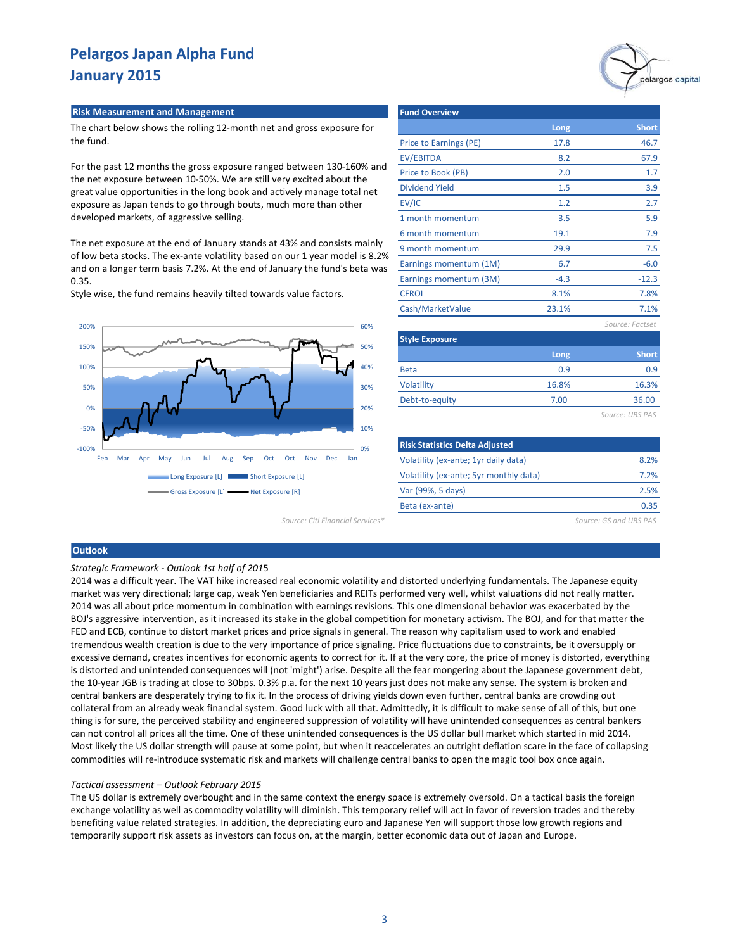#### **Risk Measurement and Management**

The chart below shows the rolling 12-month net and gross exposure for the fund.

For the past 12 months the gross exposure ranged between 130-160% and the net exposure between 10-50%. We are still very excited about the great value opportunities in the long book and actively manage total net exposure as Japan tends to go through bouts, much more than other developed markets, of aggressive selling.

The net exposure at the end of January stands at 43% and consists mainly of low beta stocks. The ex-ante volatility based on our 1 year model is 8.2% and on a longer term basis 7.2%. At the end of January the fund's beta was 0.35.

Style wise, the fund remains heavily tilted towards value factors.



| <b>Fund Overview</b>   |        |                 |
|------------------------|--------|-----------------|
|                        | Long   | <b>Short</b>    |
| Price to Earnings (PE) | 17.8   | 46.7            |
| EV/EBITDA              | 8.2    | 67.9            |
| Price to Book (PB)     | 2.0    | 1.7             |
| <b>Dividend Yield</b>  | 1.5    | 3.9             |
| EV/IC                  | 1.2    | 2.7             |
| 1 month momentum       | 3.5    | 5.9             |
| 6 month momentum       | 19.1   | 7.9             |
| 9 month momentum       | 29.9   | 7.5             |
| Earnings momentum (1M) | 6.7    | $-6.0$          |
| Earnings momentum (3M) | $-4.3$ | $-12.3$         |
| <b>CFROI</b>           | 8.1%   | 7.8%            |
| Cash/MarketValue       | 23.1%  | 7.1%            |
|                        |        | Source: Factset |

| <b>Style Exposure</b> |       |              |  |  |  |  |
|-----------------------|-------|--------------|--|--|--|--|
|                       | Long  | <b>Short</b> |  |  |  |  |
| <b>Beta</b>           | 0.9   | 0.9          |  |  |  |  |
| Volatility            | 16.8% | 16.3%        |  |  |  |  |
| Debt-to-equity        | 7.00  | 36.00        |  |  |  |  |
|                       |       |              |  |  |  |  |

*Source: UBS PAS*

| <b>Risk Statistics Delta Adjusted</b>  |      |
|----------------------------------------|------|
| Volatility (ex-ante; 1yr daily data)   | 8.2% |
| Volatility (ex-ante; 5yr monthly data) | 7.2% |
| Var (99%, 5 days)                      | 2.5% |
| Beta (ex-ante)                         | 0.35 |

*Source: Citi Financial Services\* Source: GS and UBS PAS*

#### **Outlook**

#### *Strategic Framework - Outlook 1st half of 201*5

2014 was a difficult year. The VAT hike increased real economic volatility and distorted underlying fundamentals. The Japanese equity market was very directional; large cap, weak Yen beneficiaries and REITs performed very well, whilst valuations did not really matter. 2014 was all about price momentum in combination with earnings revisions. This one dimensional behavior was exacerbated by the BOJ's aggressive intervention, as it increased its stake in the global competition for monetary activism. The BOJ, and for that matter the FED and ECB, continue to distort market prices and price signals in general. The reason why capitalism used to work and enabled tremendous wealth creation is due to the very importance of price signaling. Price fluctuations due to constraints, be it oversupply or excessive demand, creates incentives for economic agents to correct for it. If at the very core, the price of money is distorted, everything is distorted and unintended consequences will (not 'might') arise. Despite all the fear mongering about the Japanese government debt, the 10-year JGB is trading at close to 30bps. 0.3% p.a. for the next 10 years just does not make any sense. The system is broken and central bankers are desperately trying to fix it. In the process of driving yields down even further, central banks are crowding out collateral from an already weak financial system. Good luck with all that. Admittedly, it is difficult to make sense of all of this, but one thing is for sure, the perceived stability and engineered suppression of volatility will have unintended consequences as central bankers can not control all prices all the time. One of these unintended consequences is the US dollar bull market which started in mid 2014. Most likely the US dollar strength will pause at some point, but when it reaccelerates an outright deflation scare in the face of collapsing commodities will re-introduce systematic risk and markets will challenge central banks to open the magic tool box once again.

#### *Tactical assessment – Outlook February 2015*

The US dollar is extremely overbought and in the same context the energy space is extremely oversold. On a tactical basis the foreign exchange volatility as well as commodity volatility will diminish. This temporary relief will act in favor of reversion trades and thereby benefiting value related strategies. In addition, the depreciating euro and Japanese Yen will support those low growth regions and temporarily support risk assets as investors can focus on, at the margin, better economic data out of Japan and Europe.

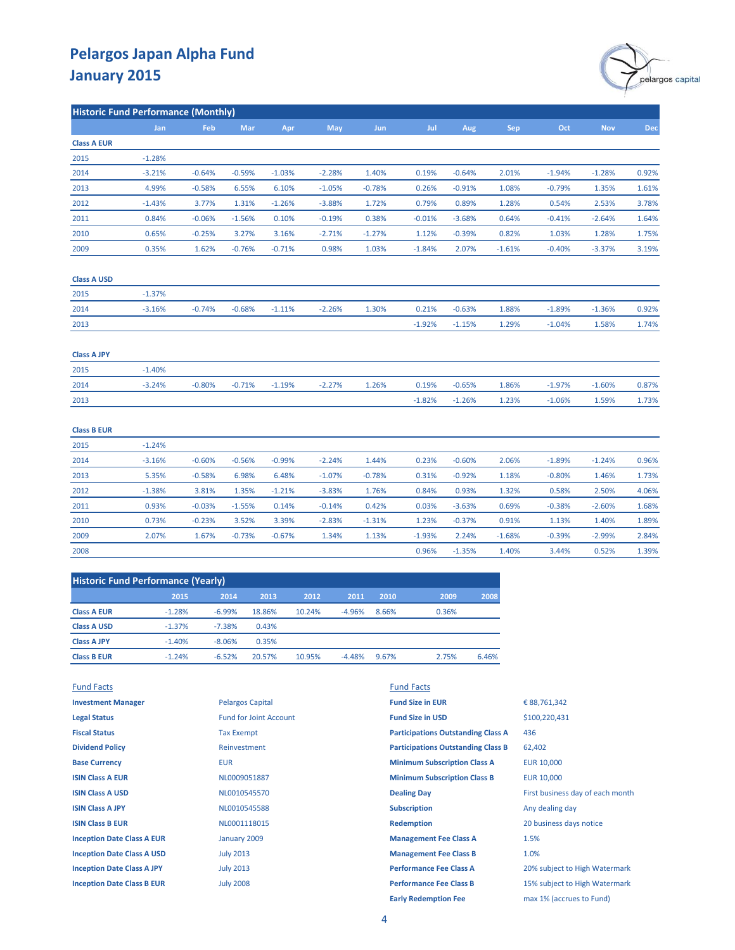

| <b>Historic Fund Performance (Monthly)</b> |            |          |          |          |          |            |          |          |            |          |            |            |
|--------------------------------------------|------------|----------|----------|----------|----------|------------|----------|----------|------------|----------|------------|------------|
|                                            | <b>Jan</b> | Feb      | Mar      | Apr      | May      | <b>Jun</b> | Jul      | Aug      | <b>Sep</b> | Oct      | <b>Nov</b> | <b>Dec</b> |
| <b>Class A EUR</b>                         |            |          |          |          |          |            |          |          |            |          |            |            |
| 2015                                       | $-1.28%$   |          |          |          |          |            |          |          |            |          |            |            |
| 2014                                       | $-3.21%$   | $-0.64%$ | $-0.59%$ | $-1.03%$ | $-2.28%$ | 1.40%      | 0.19%    | $-0.64%$ | 2.01%      | $-1.94%$ | $-1.28%$   | 0.92%      |
| 2013                                       | 4.99%      | $-0.58%$ | 6.55%    | 6.10%    | $-1.05%$ | $-0.78%$   | 0.26%    | $-0.91%$ | 1.08%      | $-0.79%$ | 1.35%      | 1.61%      |
| 2012                                       | $-1.43%$   | 3.77%    | 1.31%    | $-1.26%$ | $-3.88%$ | 1.72%      | 0.79%    | 0.89%    | 1.28%      | 0.54%    | 2.53%      | 3.78%      |
| 2011                                       | 0.84%      | $-0.06%$ | $-1.56%$ | 0.10%    | $-0.19%$ | 0.38%      | $-0.01%$ | $-3.68%$ | 0.64%      | $-0.41%$ | $-2.64%$   | 1.64%      |
| 2010                                       | 0.65%      | $-0.25%$ | 3.27%    | 3.16%    | $-2.71%$ | $-1.27%$   | 1.12%    | $-0.39%$ | 0.82%      | 1.03%    | 1.28%      | 1.75%      |
| 2009                                       | 0.35%      | 1.62%    | $-0.76%$ | $-0.71%$ | 0.98%    | 1.03%      | $-1.84%$ | 2.07%    | $-1.61%$   | $-0.40%$ | $-3.37%$   | 3.19%      |
| <b>Class A USD</b>                         |            |          |          |          |          |            |          |          |            |          |            |            |
| 2015                                       | $-1.37%$   |          |          |          |          |            |          |          |            |          |            |            |
| 2014                                       | $-3.16%$   | $-0.74%$ | $-0.68%$ | $-1.11%$ | $-2.26%$ | 1.30%      | 0.21%    | $-0.63%$ | 1.88%      | $-1.89%$ | $-1.36%$   | 0.92%      |
| 2013                                       |            |          |          |          |          |            | $-1.92%$ | $-1.15%$ | 1.29%      | $-1.04%$ | 1.58%      | 1.74%      |
| <b>Class A JPY</b>                         |            |          |          |          |          |            |          |          |            |          |            |            |
| 2015                                       | $-1.40%$   |          |          |          |          |            |          |          |            |          |            |            |
| 2014                                       | $-3.24%$   | $-0.80%$ | $-0.71%$ | $-1.19%$ | $-2.27%$ | 1.26%      | 0.19%    | $-0.65%$ | 1.86%      | $-1.97%$ | $-1.60%$   | 0.87%      |
| 2013                                       |            |          |          |          |          |            | $-1.82%$ | $-1.26%$ | 1.23%      | $-1.06%$ | 1.59%      | 1.73%      |
| <b>Class B EUR</b>                         |            |          |          |          |          |            |          |          |            |          |            |            |
| 2015                                       | $-1.24%$   |          |          |          |          |            |          |          |            |          |            |            |
| 2014                                       | $-3.16%$   | $-0.60%$ | $-0.56%$ | $-0.99%$ | $-2.24%$ | 1.44%      | 0.23%    | $-0.60%$ | 2.06%      | $-1.89%$ | $-1.24%$   | 0.96%      |
| 2013                                       | 5.35%      | $-0.58%$ | 6.98%    | 6.48%    | $-1.07%$ | $-0.78%$   | 0.31%    | $-0.92%$ | 1.18%      | $-0.80%$ | 1.46%      | 1.73%      |
| 2012                                       | $-1.38%$   | 3.81%    | 1.35%    | $-1.21%$ | $-3.83%$ | 1.76%      | 0.84%    | 0.93%    | 1.32%      | 0.58%    | 2.50%      | 4.06%      |
| 2011                                       | 0.93%      | $-0.03%$ | $-1.55%$ | 0.14%    | $-0.14%$ | 0.42%      | 0.03%    | $-3.63%$ | 0.69%      | $-0.38%$ | $-2.60%$   | 1.68%      |
| 2010                                       | 0.73%      | $-0.23%$ | 3.52%    | 3.39%    | $-2.83%$ | $-1.31%$   | 1.23%    | $-0.37%$ | 0.91%      | 1.13%    | 1.40%      | 1.89%      |
| 2009                                       | 2.07%      | 1.67%    | $-0.73%$ | $-0.67%$ | 1.34%    | 1.13%      | $-1.93%$ | 2.24%    | $-1.68%$   | $-0.39%$ | $-2.99%$   | 2.84%      |
| 2008                                       |            |          |          |          |          |            | 0.96%    | $-1.35%$ | 1.40%      | 3.44%    | 0.52%      | 1.39%      |

| <b>Historic Fund Performance (Yearly)</b> |          |          |        |        |          |       |       |       |  |  |
|-------------------------------------------|----------|----------|--------|--------|----------|-------|-------|-------|--|--|
|                                           | 2015     | 2014     | 2013   | 2012   | 2011     | 2010  | 2009  | 2008  |  |  |
| <b>Class A EUR</b>                        | $-1.28%$ | $-6.99%$ | 18.86% | 10.24% | $-4.96%$ | 8.66% | 0.36% |       |  |  |
| <b>Class A USD</b>                        | $-1.37%$ | $-7.38%$ | 0.43%  |        |          |       |       |       |  |  |
| <b>Class A JPY</b>                        | $-1.40%$ | $-8.06%$ | 0.35%  |        |          |       |       |       |  |  |
| <b>Class B EUR</b>                        | $-1.24%$ | $-6.52%$ | 20.57% | 10.95% | $-4.48%$ | 9.67% | 2.75% | 6.46% |  |  |

| <b>Fund Facts</b>                 |                               | <b>Fund Facts</b>                         |                                  |
|-----------------------------------|-------------------------------|-------------------------------------------|----------------------------------|
| <b>Investment Manager</b>         | <b>Pelargos Capital</b>       | <b>Fund Size in EUR</b>                   | € 88,761,342                     |
| <b>Legal Status</b>               | <b>Fund for Joint Account</b> | <b>Fund Size in USD</b>                   | \$100,220,431                    |
| <b>Fiscal Status</b>              | <b>Tax Exempt</b>             | <b>Participations Outstanding Class A</b> | 436                              |
| <b>Dividend Policy</b>            | Reinvestment                  | <b>Participations Outstanding Class B</b> | 62,402                           |
| <b>Base Currency</b>              | <b>EUR</b>                    | <b>Minimum Subscription Class A</b>       | <b>EUR 10,000</b>                |
| <b>ISIN Class A EUR</b>           | NL0009051887                  | <b>Minimum Subscription Class B</b>       | EUR 10,000                       |
| <b>ISIN Class A USD</b>           | NL0010545570                  | <b>Dealing Day</b>                        | First business day of each month |
| <b>ISIN Class A JPY</b>           | NL0010545588                  | <b>Subscription</b>                       | Any dealing day                  |
| <b>ISIN Class B EUR</b>           | NL0001118015                  | <b>Redemption</b>                         | 20 business days notice          |
| <b>Inception Date Class A EUR</b> | January 2009                  | <b>Management Fee Class A</b>             | 1.5%                             |
| <b>Inception Date Class A USD</b> | <b>July 2013</b>              | <b>Management Fee Class B</b>             | 1.0%                             |
| <b>Inception Date Class A JPY</b> | <b>July 2013</b>              | <b>Performance Fee Class A</b>            | 20% subject to High Watermark    |
| <b>Inception Date Class B EUR</b> | <b>July 2008</b>              | <b>Performance Fee Class B</b>            | 15% subject to High Watermark    |
|                                   |                               | <b>Early Redemption Fee</b>               | max 1% (accrues to Fund)         |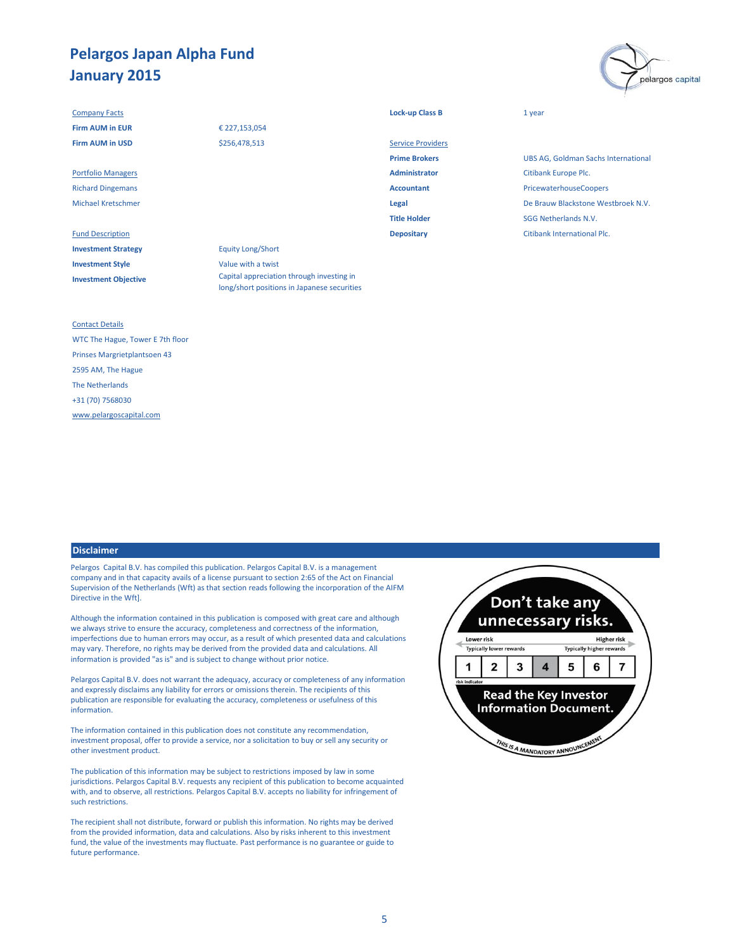#### **Company Facts Lock-up Class B** 1 year

**Investment Strategy** Equity Long/Short **Investment Style** Value with a twist **Investment Objective**

## € 227,153,054 \$256,478,513

Fund Description **Depositary** Citibank International Plc. Capital appreciation through investing in

long/short positions in Japanese securities

| <b>Firm AUM in EUR</b>    | € 227,153,054 |                          |                           |
|---------------------------|---------------|--------------------------|---------------------------|
| <b>Firm AUM in USD</b>    | \$256,478,513 | <b>Service Providers</b> |                           |
|                           |               | <b>Prime Brokers</b>     | <b>UBS AG, Goldman S</b>  |
| <b>Portfolio Managers</b> |               | <b>Administrator</b>     | Citibank Europe Plc.      |
| <b>Richard Dingemans</b>  |               | <b>Accountant</b>        | PricewaterhouseCo         |
| <b>Michael Kretschmer</b> |               | Legal                    | De Brauw Blackston        |
|                           |               | <b>Title Holder</b>      | <b>SGG Netherlands N.</b> |
|                           |               |                          |                           |

**UBS AG, Goldman Sachs International** Richard Dingemans **Accountant** PricewaterhouseCoopers Michael Kretschmer **Legal** De Brauw Blackstone Westbroek N.V. **SGG Netherlands N.V.** 

pelargos capital

#### Contact Details

WTC The Hague, Tower E 7th floor Prinses Margrietplantsoen 43 2595 AM, The Hague The Netherlands +31 (70) 7568030 [www.pelargoscapital.com](http://www.pelargoscapital.com/)

#### **Disclaimer**

Pelargos Capital B.V. has compiled this publication. Pelargos Capital B.V. is a management company and in that capacity avails of a license pursuant to section 2:65 of the Act on Financial Supervision of the Netherlands (Wft) as that section reads following the incorporation of the AIFM Directive in the Wft].

Although the information contained in this publication is composed with great care and although we always strive to ensure the accuracy, completeness and correctness of the information, imperfections due to human errors may occur, as a result of which presented data and calculations may vary. Therefore, no rights may be derived from the provided data and calculations. All information is provided "as is" and is subject to change without prior notice.

Pelargos Capital B.V. does not warrant the adequacy, accuracy or completeness of any information and expressly disclaims any liability for errors or omissions therein. The recipients of this publication are responsible for evaluating the accuracy, completeness or usefulness of this information.

The information contained in this publication does not constitute any recommendation, investment proposal, offer to provide a service, nor a solicitation to buy or sell any security or other investment product.

The publication of this information may be subject to restrictions imposed by law in some jurisdictions. Pelargos Capital B.V. requests any recipient of this publication to become acquainted with, and to observe, all restrictions. Pelargos Capital B.V. accepts no liability for infringement of such restrictions.

The recipient shall not distribute, forward or publish this information. No rights may be derived from the provided information, data and calculations. Also by risks inherent to this investment fund, the value of the investments may fluctuate. Past performance is no guarantee or guide to future performance.